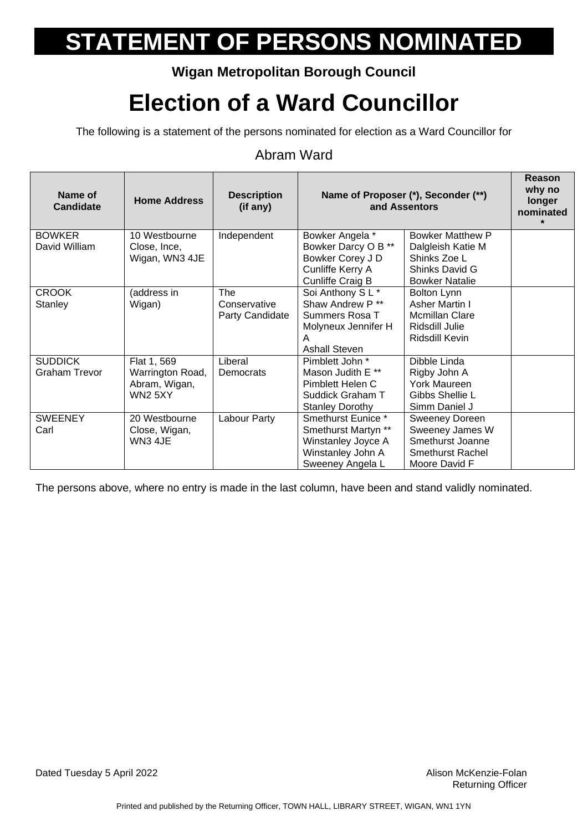### **Wigan Metropolitan Borough Council**

## **Election of a Ward Councillor**

The following is a statement of the persons nominated for election as a Ward Councillor for

#### Abram Ward

| Name of<br><b>Candidate</b> | <b>Home Address</b> | <b>Description</b><br>(if any) | Name of Proposer (*), Seconder (**)<br>and Assentors |                       | Reason<br>why no<br>longer<br>nominated<br>$\star$ |
|-----------------------------|---------------------|--------------------------------|------------------------------------------------------|-----------------------|----------------------------------------------------|
| <b>BOWKER</b>               | 10 Westbourne       | Independent                    | Bowker Angela *                                      | Bowker Matthew P      |                                                    |
| David William               | Close, Ince,        |                                | Bowker Darcy O B **                                  | Dalgleish Katie M     |                                                    |
|                             | Wigan, WN3 4JE      |                                | Bowker Corey J D                                     | Shinks Zoe L          |                                                    |
|                             |                     |                                | Cunliffe Kerry A                                     | Shinks David G        |                                                    |
|                             |                     |                                | Cunliffe Craig B                                     | <b>Bowker Natalie</b> |                                                    |
| <b>CROOK</b>                | (address in         | The                            | Soi Anthony SL*                                      | Bolton Lynn           |                                                    |
| Stanley                     | Wigan)              | Conservative                   | Shaw Andrew P <sup>**</sup>                          | Asher Martin I        |                                                    |
|                             |                     | Party Candidate                | Summers Rosa T                                       | <b>Mcmillan Clare</b> |                                                    |
|                             |                     |                                | Molyneux Jennifer H                                  | Ridsdill Julie        |                                                    |
|                             |                     |                                | A<br><b>Ashall Steven</b>                            | Ridsdill Kevin        |                                                    |
| <b>SUDDICK</b>              | Flat 1, 569         | Liberal                        | Pimblett John *                                      | Dibble Linda          |                                                    |
| <b>Graham Trevor</b>        | Warrington Road,    | Democrats                      | Mason Judith E **                                    | Rigby John A          |                                                    |
|                             | Abram, Wigan,       |                                | Pimblett Helen C                                     | York Maureen          |                                                    |
|                             | <b>WN2 5XY</b>      |                                | Suddick Graham T                                     | Gibbs Shellie L       |                                                    |
|                             |                     |                                | <b>Stanley Dorothy</b>                               | Simm Daniel J         |                                                    |
| <b>SWEENEY</b>              | 20 Westbourne       | Labour Party                   | Smethurst Eunice *                                   | Sweeney Doreen        |                                                    |
| Carl                        | Close, Wigan,       |                                | Smethurst Martyn **                                  | Sweeney James W       |                                                    |
|                             | WN3 4JE             |                                | Winstanley Joyce A                                   | Smethurst Joanne      |                                                    |
|                             |                     |                                | Winstanley John A                                    | Smethurst Rachel      |                                                    |
|                             |                     |                                | Sweeney Angela L                                     | Moore David F         |                                                    |

The persons above, where no entry is made in the last column, have been and stand validly nominated.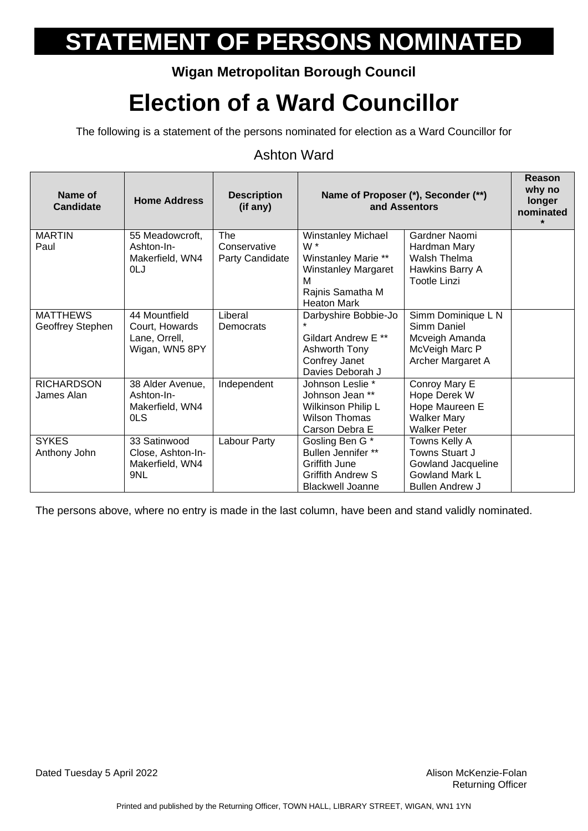### **Wigan Metropolitan Borough Council**

## **Election of a Ward Councillor**

The following is a statement of the persons nominated for election as a Ward Councillor for

#### Ashton Ward

| Name of<br><b>Candidate</b> | <b>Home Address</b> | <b>Description</b><br>(if any) |                                        | Name of Proposer (*), Seconder (**)<br>and Assentors | Reason<br>why no<br>longer<br>nominated<br>$\star$ |
|-----------------------------|---------------------|--------------------------------|----------------------------------------|------------------------------------------------------|----------------------------------------------------|
| <b>MARTIN</b>               | 55 Meadowcroft,     | The                            | <b>Winstanley Michael</b>              | Gardner Naomi                                        |                                                    |
| Paul                        | Ashton-In-          | Conservative                   | W <sup>*</sup>                         | Hardman Mary                                         |                                                    |
|                             | Makerfield, WN4     | Party Candidate                | Winstanley Marie **                    | Walsh Thelma                                         |                                                    |
|                             | 0LJ                 |                                | <b>Winstanley Margaret</b>             | Hawkins Barry A                                      |                                                    |
|                             |                     |                                | м                                      | <b>Tootle Linzi</b>                                  |                                                    |
|                             |                     |                                | Rajnis Samatha M<br><b>Heaton Mark</b> |                                                      |                                                    |
| <b>MATTHEWS</b>             | 44 Mountfield       | Liberal                        | Darbyshire Bobbie-Jo                   | Simm Dominique L N                                   |                                                    |
| Geoffrey Stephen            | Court, Howards      | Democrats                      |                                        | Simm Daniel                                          |                                                    |
|                             | Lane, Orrell,       |                                | Gildart Andrew E <sup>**</sup>         | Mcveigh Amanda                                       |                                                    |
|                             | Wigan, WN5 8PY      |                                | Ashworth Tony                          | McVeigh Marc P                                       |                                                    |
|                             |                     |                                | Confrey Janet                          | Archer Margaret A                                    |                                                    |
|                             |                     |                                | Davies Deborah J                       |                                                      |                                                    |
| <b>RICHARDSON</b>           | 38 Alder Avenue,    | Independent                    | Johnson Leslie *                       | Conroy Mary E                                        |                                                    |
| James Alan                  | Ashton-In-          |                                | Johnson Jean **                        | Hope Derek W                                         |                                                    |
|                             | Makerfield, WN4     |                                | Wilkinson Philip L                     | Hope Maureen E                                       |                                                    |
|                             | 0LS                 |                                | <b>Wilson Thomas</b>                   | <b>Walker Mary</b>                                   |                                                    |
|                             |                     |                                | Carson Debra E                         | <b>Walker Peter</b>                                  |                                                    |
| <b>SYKES</b>                | 33 Satinwood        | Labour Party                   | Gosling Ben G*                         | Towns Kelly A                                        |                                                    |
| Anthony John                | Close, Ashton-In-   |                                | Bullen Jennifer **                     | Towns Stuart J                                       |                                                    |
|                             | Makerfield, WN4     |                                | Griffith June                          | Gowland Jacqueline                                   |                                                    |
|                             | 9NL                 |                                | <b>Griffith Andrew S</b>               | <b>Gowland Mark L</b>                                |                                                    |
|                             |                     |                                | <b>Blackwell Joanne</b>                | <b>Bullen Andrew J</b>                               |                                                    |

The persons above, where no entry is made in the last column, have been and stand validly nominated.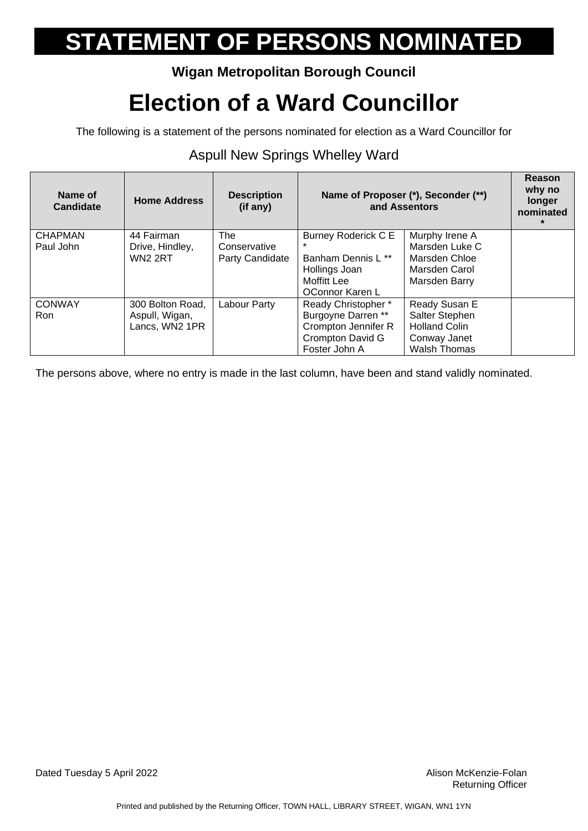### **Wigan Metropolitan Borough Council**

## **Election of a Ward Councillor**

The following is a statement of the persons nominated for election as a Ward Councillor for

#### Aspull New Springs Whelley Ward

| Name of<br>Candidate        | <b>Home Address</b>                                  | <b>Description</b><br>(if any)                | Name of Proposer (*), Seconder (**)<br>and Assentors                                                         |                                                                                                | Reason<br>why no<br>longer<br>nominated |
|-----------------------------|------------------------------------------------------|-----------------------------------------------|--------------------------------------------------------------------------------------------------------------|------------------------------------------------------------------------------------------------|-----------------------------------------|
| <b>CHAPMAN</b><br>Paul John | 44 Fairman<br>Drive, Hindley,<br><b>WN2 2RT</b>      | <b>The</b><br>Conservative<br>Party Candidate | <b>Burney Roderick C E</b><br>Banham Dennis L **<br>Hollings Joan                                            | Murphy Irene A<br>Marsden Luke C<br>Marsden Chloe<br>Marsden Carol                             |                                         |
|                             |                                                      |                                               | Moffitt Lee<br>OConnor Karen L                                                                               | Marsden Barry                                                                                  |                                         |
| <b>CONWAY</b><br><b>Ron</b> | 300 Bolton Road,<br>Aspull, Wigan,<br>Lancs, WN2 1PR | Labour Party                                  | Ready Christopher *<br>Burgoyne Darren **<br>Crompton Jennifer R<br><b>Crompton David G</b><br>Foster John A | Ready Susan E<br>Salter Stephen<br><b>Holland Colin</b><br>Conway Janet<br><b>Walsh Thomas</b> |                                         |

The persons above, where no entry is made in the last column, have been and stand validly nominated.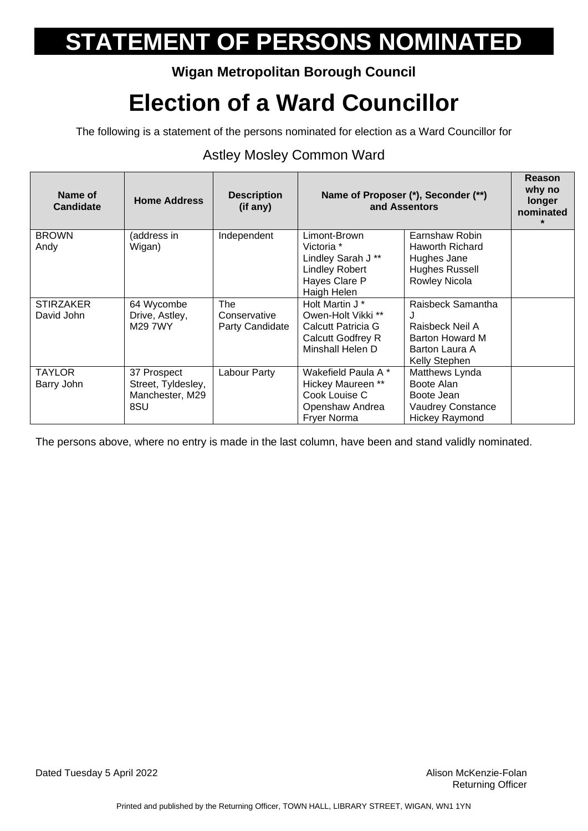### **Wigan Metropolitan Borough Council**

## **Election of a Ward Councillor**

The following is a statement of the persons nominated for election as a Ward Councillor for

### Astley Mosley Common Ward

| Name of<br><b>Candidate</b> | <b>Home Address</b> | <b>Description</b><br>(if any) | Name of Proposer (*), Seconder (**)<br>and Assentors |                          | Reason<br>why no<br>longer<br>nominated |
|-----------------------------|---------------------|--------------------------------|------------------------------------------------------|--------------------------|-----------------------------------------|
| <b>BROWN</b>                | (address in         | Independent                    | Limont-Brown                                         | Earnshaw Robin           |                                         |
| Andy                        | Wigan)              |                                | Victoria *                                           | Haworth Richard          |                                         |
|                             |                     |                                | Lindley Sarah J**                                    | Hughes Jane              |                                         |
|                             |                     |                                | <b>Lindley Robert</b>                                | <b>Hughes Russell</b>    |                                         |
|                             |                     |                                | Hayes Clare P                                        | Rowley Nicola            |                                         |
|                             |                     |                                | Haigh Helen                                          |                          |                                         |
| <b>STIRZAKER</b>            | 64 Wycombe          | The                            | Holt Martin J *                                      | Raisbeck Samantha        |                                         |
| David John                  | Drive, Astley,      | Conservative                   | Owen-Holt Vikki <sup>**</sup>                        | J                        |                                         |
|                             | M29 7WY             | Party Candidate                | Calcutt Patricia G                                   | Raisbeck Neil A          |                                         |
|                             |                     |                                | Calcutt Godfrey R                                    | <b>Barton Howard M</b>   |                                         |
|                             |                     |                                | Minshall Helen D                                     | Barton Laura A           |                                         |
|                             |                     |                                |                                                      | Kelly Stephen            |                                         |
| <b>TAYLOR</b>               | 37 Prospect         | Labour Party                   | Wakefield Paula A *                                  | Matthews Lynda           |                                         |
| Barry John                  | Street, Tyldesley,  |                                | Hickey Maureen **                                    | Boote Alan               |                                         |
|                             | Manchester, M29     |                                | Cook Louise C                                        | Boote Jean               |                                         |
|                             | 8SU                 |                                | Openshaw Andrea                                      | <b>Vaudrey Constance</b> |                                         |
|                             |                     |                                | Fryer Norma                                          | <b>Hickey Raymond</b>    |                                         |

The persons above, where no entry is made in the last column, have been and stand validly nominated.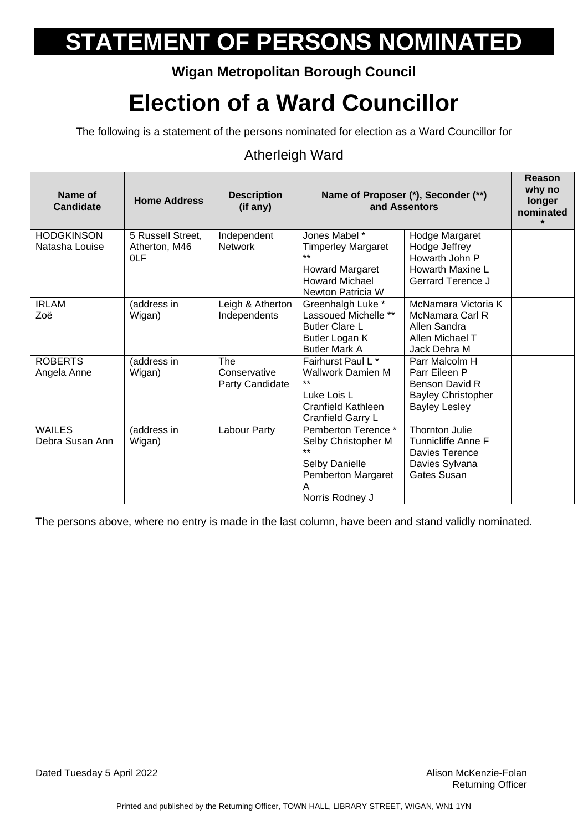### **Wigan Metropolitan Borough Council**

## **Election of a Ward Councillor**

The following is a statement of the persons nominated for election as a Ward Councillor for

#### Atherleigh Ward

| Name of<br><b>Candidate</b>         | <b>Home Address</b>                       | <b>Description</b><br>(if any)         |                                                                                                                                   | Name of Proposer (*), Seconder (**)<br>and Assentors                                                         | Reason<br>why no<br>longer<br>nominated<br>$\star$ |
|-------------------------------------|-------------------------------------------|----------------------------------------|-----------------------------------------------------------------------------------------------------------------------------------|--------------------------------------------------------------------------------------------------------------|----------------------------------------------------|
| <b>HODGKINSON</b><br>Natasha Louise | 5 Russell Street,<br>Atherton, M46<br>0LF | Independent<br><b>Network</b>          | Jones Mabel *<br><b>Timperley Margaret</b><br><b>Howard Margaret</b><br><b>Howard Michael</b>                                     | Hodge Margaret<br>Hodge Jeffrey<br>Howarth John P<br>Howarth Maxine L<br>Gerrard Terence J                   |                                                    |
| <b>IRLAM</b><br>Zoë                 | (address in<br>Wigan)                     | Leigh & Atherton<br>Independents       | Newton Patricia W<br>Greenhalgh Luke *<br>Lassoued Michelle **<br><b>Butler Clare L</b><br>Butler Logan K<br><b>Butler Mark A</b> | McNamara Victoria K<br>McNamara Carl R<br>Allen Sandra<br>Allen Michael T<br>Jack Dehra M                    |                                                    |
| <b>ROBERTS</b><br>Angela Anne       | (address in<br>Wigan)                     | The<br>Conservative<br>Party Candidate | Fairhurst Paul L *<br><b>Wallwork Damien M</b><br>$***$<br>Luke Lois L<br>Cranfield Kathleen<br>Cranfield Garry L                 | Parr Malcolm H<br>Parr Eileen P<br>Benson David R<br><b>Bayley Christopher</b><br><b>Bayley Lesley</b>       |                                                    |
| <b>WAILES</b><br>Debra Susan Ann    | (address in<br>Wigan)                     | Labour Party                           | Pemberton Terence *<br>Selby Christopher M<br>$***$<br>Selby Danielle<br>Pemberton Margaret<br>A<br>Norris Rodney J               | <b>Thornton Julie</b><br><b>Tunnicliffe Anne F</b><br>Davies Terence<br>Davies Sylvana<br><b>Gates Susan</b> |                                                    |

The persons above, where no entry is made in the last column, have been and stand validly nominated.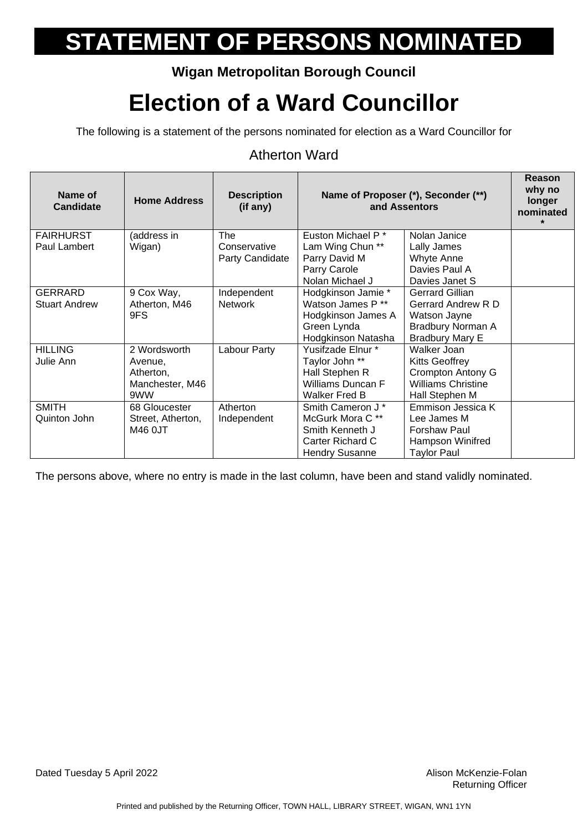### **Wigan Metropolitan Borough Council**

## **Election of a Ward Councillor**

The following is a statement of the persons nominated for election as a Ward Councillor for

#### Atherton Ward

| Name of<br><b>Candidate</b> | <b>Home Address</b> | <b>Description</b><br>(if any) | Name of Proposer (*), Seconder (**)<br>and Assentors |                           | Reason<br>why no<br>longer<br>nominated |
|-----------------------------|---------------------|--------------------------------|------------------------------------------------------|---------------------------|-----------------------------------------|
| <b>FAIRHURST</b>            | (address in         | The                            | Euston Michael P <sup>*</sup>                        | Nolan Janice              |                                         |
| Paul Lambert                | Wigan)              | Conservative                   | Lam Wing Chun **                                     | Lally James               |                                         |
|                             |                     | Party Candidate                | Parry David M                                        | Whyte Anne                |                                         |
|                             |                     |                                | Parry Carole                                         | Davies Paul A             |                                         |
|                             |                     |                                | Nolan Michael J                                      | Davies Janet S            |                                         |
| <b>GERRARD</b>              | 9 Cox Way,          | Independent                    | Hodgkinson Jamie *                                   | Gerrard Gillian           |                                         |
| <b>Stuart Andrew</b>        | Atherton, M46       | <b>Network</b>                 | Watson James P **                                    | Gerrard Andrew R D        |                                         |
|                             | 9FS                 |                                | Hodgkinson James A                                   | Watson Jayne              |                                         |
|                             |                     |                                | Green Lynda                                          | Bradbury Norman A         |                                         |
|                             |                     |                                | Hodgkinson Natasha                                   | <b>Bradbury Mary E</b>    |                                         |
| <b>HILLING</b>              | 2 Wordsworth        | Labour Party                   | Yusifzade Elnur*                                     | Walker Joan               |                                         |
| Julie Ann                   | Avenue,             |                                | Taylor John **                                       | Kitts Geoffrey            |                                         |
|                             | Atherton,           |                                | Hall Stephen R                                       | Crompton Antony G         |                                         |
|                             | Manchester, M46     |                                | Williams Duncan F                                    | <b>Williams Christine</b> |                                         |
|                             | 9WW                 |                                | <b>Walker Fred B</b>                                 | Hall Stephen M            |                                         |
| <b>SMITH</b>                | 68 Gloucester       | Atherton                       | Smith Cameron J <sup>*</sup>                         | Emmison Jessica K         |                                         |
| Quinton John                | Street, Atherton,   | Independent                    | McGurk Mora C <sup>**</sup>                          | Lee James M               |                                         |
|                             | M46 0JT             |                                | Smith Kenneth J                                      | <b>Forshaw Paul</b>       |                                         |
|                             |                     |                                | Carter Richard C                                     | Hampson Winifred          |                                         |
|                             |                     |                                | <b>Hendry Susanne</b>                                | Taylor Paul               |                                         |

The persons above, where no entry is made in the last column, have been and stand validly nominated.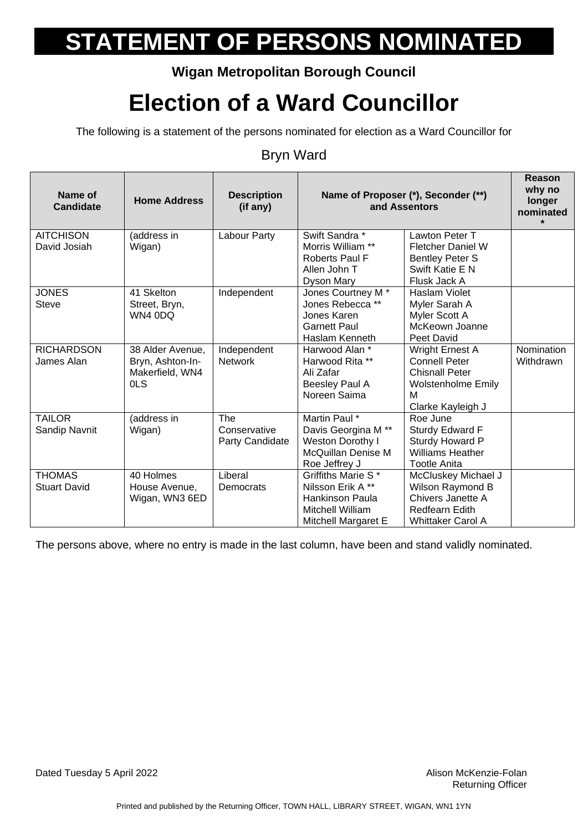### **Wigan Metropolitan Borough Council**

## **Election of a Ward Councillor**

The following is a statement of the persons nominated for election as a Ward Councillor for

#### Bryn Ward

| Name of<br>Candidate | <b>Home Address</b> | <b>Description</b><br>(if any) | Name of Proposer (*), Seconder (**)<br>and Assentors |                                 | Reason<br>why no<br>longer<br>nominated<br>$\star$ |
|----------------------|---------------------|--------------------------------|------------------------------------------------------|---------------------------------|----------------------------------------------------|
| <b>AITCHISON</b>     | (address in         | Labour Party                   | Swift Sandra *                                       | Lawton Peter T                  |                                                    |
| David Josiah         | Wigan)              |                                | Morris William **                                    | <b>Fletcher Daniel W</b>        |                                                    |
|                      |                     |                                | <b>Roberts Paul F</b>                                | <b>Bentley Peter S</b>          |                                                    |
|                      |                     |                                | Allen John T<br>Dyson Mary                           | Swift Katie E N<br>Flusk Jack A |                                                    |
| <b>JONES</b>         | 41 Skelton          | Independent                    | Jones Courtney M <sup>*</sup>                        | Haslam Violet                   |                                                    |
| <b>Steve</b>         | Street, Bryn,       |                                | Jones Rebecca **                                     | Myler Sarah A                   |                                                    |
|                      | WN4 0DQ             |                                | Jones Karen                                          | Myler Scott A                   |                                                    |
|                      |                     |                                | <b>Garnett Paul</b>                                  | McKeown Joanne                  |                                                    |
|                      |                     |                                | Haslam Kenneth                                       | Peet David                      |                                                    |
| <b>RICHARDSON</b>    | 38 Alder Avenue,    | Independent                    | Harwood Alan *                                       | Wright Ernest A                 | Nomination                                         |
| James Alan           | Bryn, Ashton-In-    | <b>Network</b>                 | Harwood Rita **                                      | <b>Connell Peter</b>            | Withdrawn                                          |
|                      | Makerfield, WN4     |                                | Ali Zafar                                            | <b>Chisnall Peter</b>           |                                                    |
|                      | <b>OLS</b>          |                                | Beesley Paul A                                       | <b>Wolstenholme Emily</b>       |                                                    |
|                      |                     |                                | Noreen Saima                                         | м                               |                                                    |
|                      |                     |                                |                                                      | Clarke Kayleigh J               |                                                    |
| <b>TAILOR</b>        | (address in         | <b>The</b><br>Conservative     | Martin Paul *<br>Davis Georgina M <sup>**</sup>      | Roe June<br>Sturdy Edward F     |                                                    |
| Sandip Navnit        | Wigan)              | Party Candidate                | Weston Dorothy I                                     | Sturdy Howard P                 |                                                    |
|                      |                     |                                | McQuillan Denise M                                   | <b>Williams Heather</b>         |                                                    |
|                      |                     |                                | Roe Jeffrey J                                        | <b>Tootle Anita</b>             |                                                    |
| <b>THOMAS</b>        | 40 Holmes           | Liberal                        | Griffiths Marie S*                                   | McCluskey Michael J             |                                                    |
| <b>Stuart David</b>  | House Avenue,       | Democrats                      | Nilsson Erik A**                                     | Wilson Raymond B                |                                                    |
|                      | Wigan, WN3 6ED      |                                | Hankinson Paula                                      | Chivers Janette A               |                                                    |
|                      |                     |                                | Mitchell William                                     | <b>Redfearn Edith</b>           |                                                    |
|                      |                     |                                | Mitchell Margaret E                                  | <b>Whittaker Carol A</b>        |                                                    |

The persons above, where no entry is made in the last column, have been and stand validly nominated.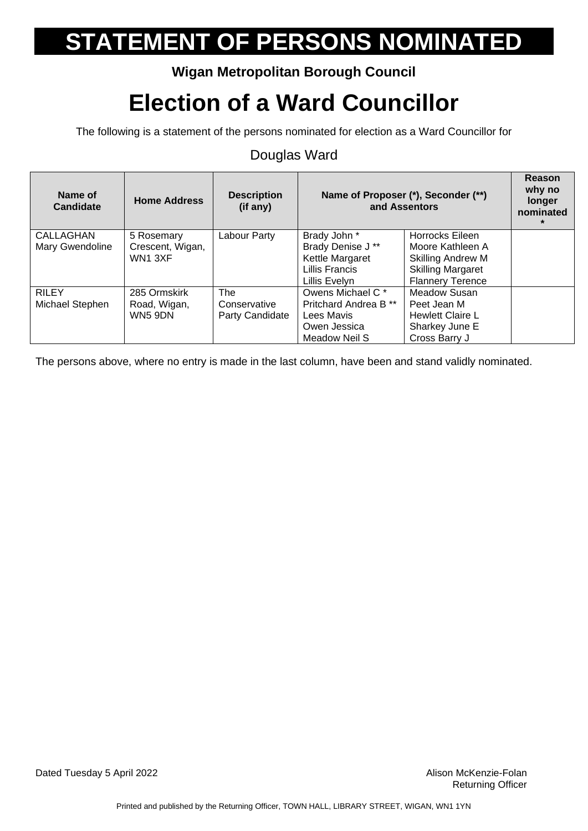### **Wigan Metropolitan Borough Council**

## **Election of a Ward Councillor**

The following is a statement of the persons nominated for election as a Ward Councillor for

#### Douglas Ward

| Name of<br>Candidate | <b>Home Address</b> | <b>Description</b><br>(if any) | Name of Proposer (*), Seconder (**)<br>and Assentors |                          | Reason<br>why no<br>longer<br>nominated<br>$\star$ |
|----------------------|---------------------|--------------------------------|------------------------------------------------------|--------------------------|----------------------------------------------------|
| CALLAGHAN            | 5 Rosemary          | Labour Party                   | Brady John *                                         | Horrocks Eileen          |                                                    |
| Mary Gwendoline      | Crescent, Wigan,    |                                | Brady Denise J **                                    | Moore Kathleen A         |                                                    |
|                      | WN13XF              |                                | Kettle Margaret                                      | <b>Skilling Andrew M</b> |                                                    |
|                      |                     |                                | <b>Lillis Francis</b>                                | <b>Skilling Margaret</b> |                                                    |
|                      |                     |                                | Lillis Evelvn                                        | <b>Flannery Terence</b>  |                                                    |
| <b>RILEY</b>         | 285 Ormskirk        | <b>The</b>                     | Owens Michael C <sup>*</sup>                         | <b>Meadow Susan</b>      |                                                    |
| Michael Stephen      | Road, Wigan,        | Conservative                   | Pritchard Andrea B <sup>**</sup>                     | Peet Jean M              |                                                    |
|                      | <b>WN5 9DN</b>      | Party Candidate                | Lees Mavis                                           | <b>Hewlett Claire L</b>  |                                                    |
|                      |                     |                                | Owen Jessica                                         | Sharkey June E           |                                                    |
|                      |                     |                                | Meadow Neil S                                        | Cross Barry J            |                                                    |

The persons above, where no entry is made in the last column, have been and stand validly nominated.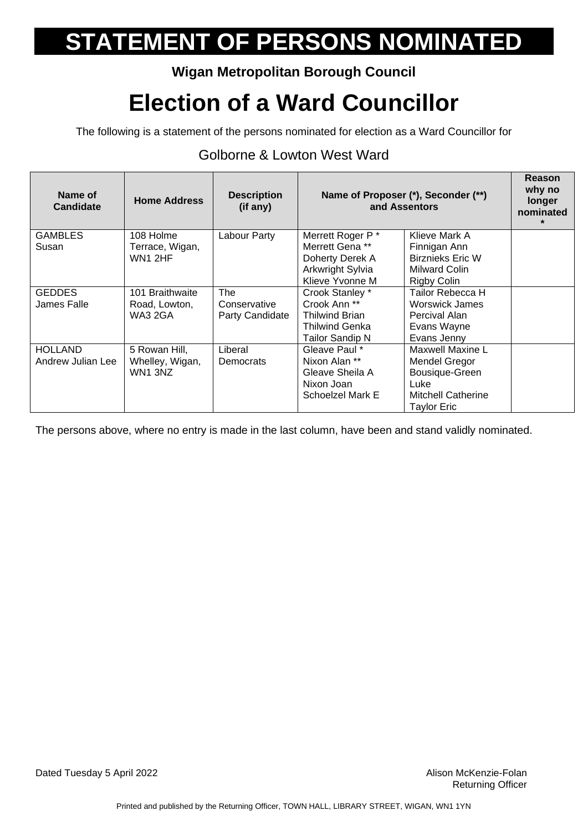### **Wigan Metropolitan Borough Council**

## **Election of a Ward Councillor**

The following is a statement of the persons nominated for election as a Ward Councillor for

#### Golborne & Lowton West Ward

| Name of<br><b>Candidate</b>         | <b>Home Address</b>                         | <b>Description</b><br>(if any)         | Name of Proposer (*), Seconder (**)<br>and Assentors                                                     |                                                                                                         | <b>Reason</b><br>why no<br>longer<br>nominated<br>$\star$ |
|-------------------------------------|---------------------------------------------|----------------------------------------|----------------------------------------------------------------------------------------------------------|---------------------------------------------------------------------------------------------------------|-----------------------------------------------------------|
| <b>GAMBLES</b><br>Susan             | 108 Holme<br>Terrace, Wigan,<br>WN1 2HF     | Labour Party                           | Merrett Roger P*<br>Merrett Gena <sup>**</sup><br>Doherty Derek A<br>Arkwright Sylvia<br>Klieve Yvonne M | Klieve Mark A<br>Finnigan Ann<br><b>Birznieks Eric W</b><br><b>Milward Colin</b><br><b>Rigby Colin</b>  |                                                           |
| <b>GEDDES</b><br>James Falle        | 101 Braithwaite<br>Road, Lowton,<br>WA3 2GA | The<br>Conservative<br>Party Candidate | Crook Stanley *<br>Crook Ann **<br><b>Thilwind Brian</b><br>Thilwind Genka<br><b>Tailor Sandip N</b>     | Tailor Rebecca H<br>Worswick James<br>Percival Alan<br>Evans Wayne<br>Evans Jenny                       |                                                           |
| <b>HOLLAND</b><br>Andrew Julian Lee | 5 Rowan Hill,<br>Whelley, Wigan,<br>WN1 3NZ | Liberal<br>Democrats                   | Gleave Paul *<br>Nixon Alan **<br>Gleave Sheila A<br>Nixon Joan<br>Schoelzel Mark E                      | Maxwell Maxine L<br>Mendel Gregor<br>Bousique-Green<br>Luke<br><b>Mitchell Catherine</b><br>Taylor Eric |                                                           |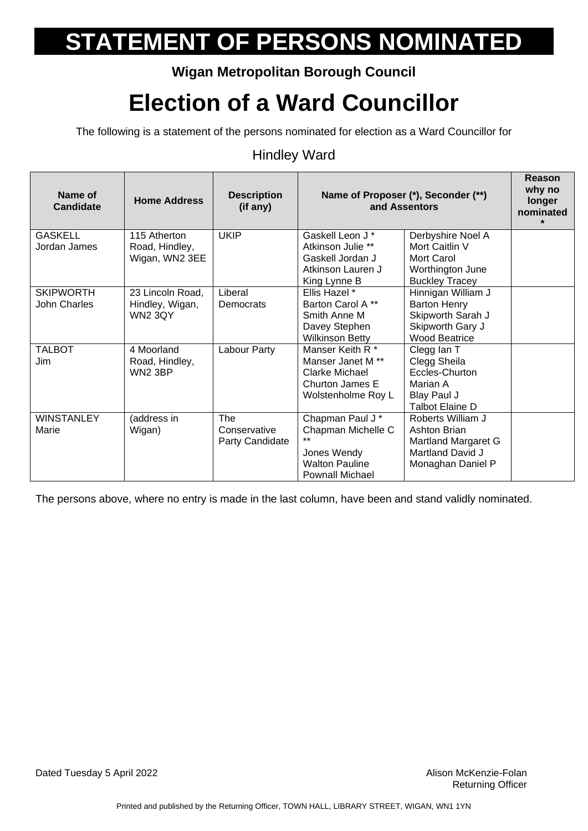### **Wigan Metropolitan Borough Council**

## **Election of a Ward Councillor**

The following is a statement of the persons nominated for election as a Ward Councillor for

#### Hindley Ward

| Name of<br><b>Candidate</b> | <b>Home Address</b> | <b>Description</b><br>(if any) | Name of Proposer (*), Seconder (**)<br>and Assentors |                        | Reason<br>why no<br>longer<br>nominated<br>$\star$ |
|-----------------------------|---------------------|--------------------------------|------------------------------------------------------|------------------------|----------------------------------------------------|
| <b>GASKELL</b>              | 115 Atherton        | <b>UKIP</b>                    | Gaskell Leon J*                                      | Derbyshire Noel A      |                                                    |
| Jordan James                | Road, Hindley,      |                                | Atkinson Julie **                                    | Mort Caitlin V         |                                                    |
|                             | Wigan, WN2 3EE      |                                | Gaskell Jordan J                                     | Mort Carol             |                                                    |
|                             |                     |                                | Atkinson Lauren J                                    | Worthington June       |                                                    |
|                             |                     |                                | King Lynne B                                         | <b>Buckley Tracey</b>  |                                                    |
| <b>SKIPWORTH</b>            | 23 Lincoln Road,    | Liberal                        | Ellis Hazel *                                        | Hinnigan William J     |                                                    |
| John Charles                | Hindley, Wigan,     | Democrats                      | Barton Carol A**                                     | <b>Barton Henry</b>    |                                                    |
|                             | <b>WN2 3QY</b>      |                                | Smith Anne M                                         | Skipworth Sarah J      |                                                    |
|                             |                     |                                | Davey Stephen                                        | Skipworth Gary J       |                                                    |
|                             |                     |                                | <b>Wilkinson Betty</b>                               | <b>Wood Beatrice</b>   |                                                    |
| <b>TALBOT</b>               | 4 Moorland          | Labour Party                   | Manser Keith R <sup>*</sup>                          | Clegg lan T            |                                                    |
| Jim                         | Road, Hindley,      |                                | Manser Janet M <sup>**</sup>                         | Clegg Sheila           |                                                    |
|                             | <b>WN2 3BP</b>      |                                | Clarke Michael                                       | Eccles-Churton         |                                                    |
|                             |                     |                                | Churton James E                                      | Marian A               |                                                    |
|                             |                     |                                | Wolstenholme Roy L                                   | Blay Paul J            |                                                    |
|                             |                     |                                |                                                      | <b>Talbot Elaine D</b> |                                                    |
| <b>WINSTANLEY</b>           | (address in         | <b>The</b>                     | Chapman Paul J *                                     | Roberts William J      |                                                    |
| Marie                       | Wigan)              | Conservative                   | Chapman Michelle C<br>$+ +$                          | Ashton Brian           |                                                    |
|                             |                     | Party Candidate                |                                                      | Martland Margaret G    |                                                    |
|                             |                     |                                | Jones Wendy                                          | Martland David J       |                                                    |
|                             |                     |                                | <b>Walton Pauline</b>                                | Monaghan Daniel P      |                                                    |
|                             |                     |                                | <b>Pownall Michael</b>                               |                        |                                                    |

The persons above, where no entry is made in the last column, have been and stand validly nominated.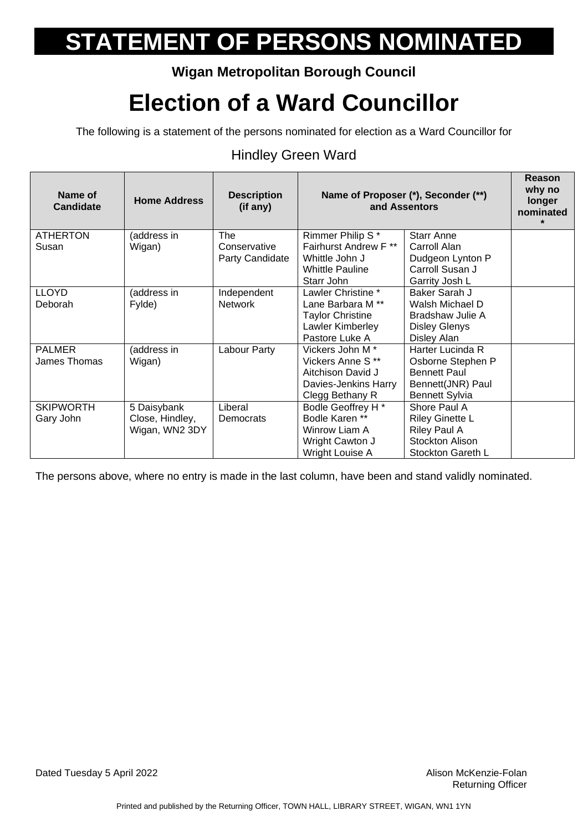### **Wigan Metropolitan Borough Council**

## **Election of a Ward Councillor**

The following is a statement of the persons nominated for election as a Ward Councillor for

#### Hindley Green Ward

| Name of<br><b>Candidate</b> | <b>Home Address</b> | <b>Description</b><br>(if any) | Name of Proposer (*), Seconder (**)<br>and Assentors |                        | Reason<br>why no<br>longer<br>nominated<br>$\star$ |
|-----------------------------|---------------------|--------------------------------|------------------------------------------------------|------------------------|----------------------------------------------------|
| <b>ATHERTON</b>             | (address in         | The                            | Rimmer Philip S*                                     | Starr Anne             |                                                    |
| Susan                       | Wigan)              | Conservative                   | Fairhurst Andrew F**                                 | Carroll Alan           |                                                    |
|                             |                     | Party Candidate                | Whittle John J                                       | Dudgeon Lynton P       |                                                    |
|                             |                     |                                | <b>Whittle Pauline</b>                               | Carroll Susan J        |                                                    |
|                             |                     |                                | Starr John                                           | Garrity Josh L         |                                                    |
| <b>LLOYD</b>                | (address in         | Independent                    | Lawler Christine *                                   | Baker Sarah J          |                                                    |
| Deborah                     | Fylde)              | <b>Network</b>                 | Lane Barbara M <sup>**</sup>                         | Walsh Michael D        |                                                    |
|                             |                     |                                | <b>Taylor Christine</b>                              | Bradshaw Julie A       |                                                    |
|                             |                     |                                | Lawler Kimberley                                     | <b>Disley Glenys</b>   |                                                    |
|                             |                     |                                | Pastore Luke A                                       | Disley Alan            |                                                    |
| <b>PALMER</b>               | (address in         | Labour Party                   | Vickers John M <sup>*</sup>                          | Harter Lucinda R       |                                                    |
| James Thomas                | Wigan)              |                                | Vickers Anne S**                                     | Osborne Stephen P      |                                                    |
|                             |                     |                                | Aitchison David J                                    | <b>Bennett Paul</b>    |                                                    |
|                             |                     |                                | Davies-Jenkins Harry                                 | Bennett(JNR) Paul      |                                                    |
|                             |                     |                                | Clegg Bethany R                                      | <b>Bennett Sylvia</b>  |                                                    |
| <b>SKIPWORTH</b>            | 5 Daisybank         | Liberal                        | Bodle Geoffrey H *                                   | Shore Paul A           |                                                    |
| Gary John                   | Close, Hindley,     | Democrats                      | Bodle Karen **                                       | <b>Riley Ginette L</b> |                                                    |
|                             | Wigan, WN2 3DY      |                                | Winrow Liam A                                        | Riley Paul A           |                                                    |
|                             |                     |                                | Wright Cawton J                                      | Stockton Alison        |                                                    |
|                             |                     |                                | Wright Louise A                                      | Stockton Gareth L      |                                                    |

The persons above, where no entry is made in the last column, have been and stand validly nominated.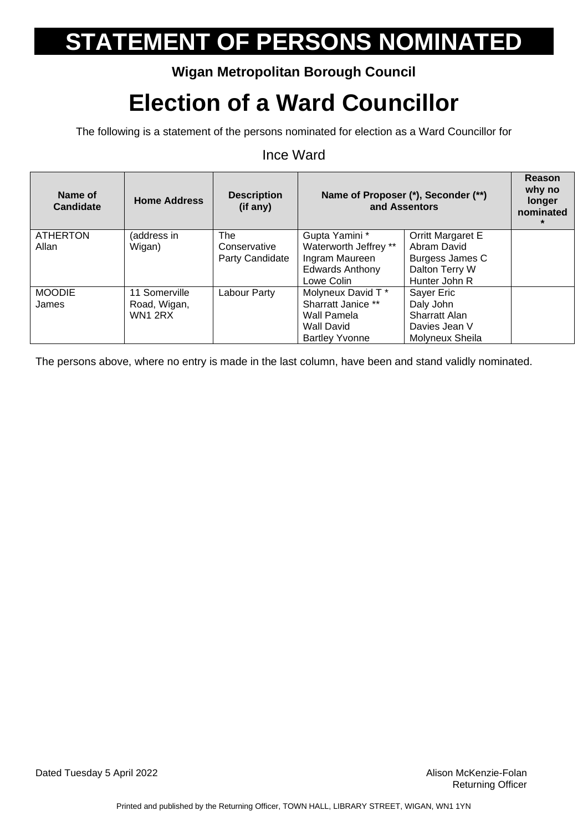### **Wigan Metropolitan Borough Council**

## **Election of a Ward Councillor**

The following is a statement of the persons nominated for election as a Ward Councillor for

#### Ince Ward

| Name of<br>Candidate | <b>Home Address</b> | <b>Description</b><br>(if any) |                        | Name of Proposer (*), Seconder (**)<br>and Assentors | Reason<br>why no<br>longer<br>nominated<br>$\star$ |
|----------------------|---------------------|--------------------------------|------------------------|------------------------------------------------------|----------------------------------------------------|
| <b>ATHERTON</b>      | (address in         | <b>The</b>                     | Gupta Yamini *         | Orritt Margaret E                                    |                                                    |
| Allan                | Wigan)              | Conservative                   | Waterworth Jeffrey **  | Abram David                                          |                                                    |
|                      |                     | Party Candidate                | Ingram Maureen         | Burgess James C                                      |                                                    |
|                      |                     |                                | <b>Edwards Anthony</b> | Dalton Terry W                                       |                                                    |
|                      |                     |                                | Lowe Colin             | Hunter John R                                        |                                                    |
| <b>MOODIE</b>        | 11 Somerville       | Labour Party                   | Molyneux David T *     | Sayer Eric                                           |                                                    |
| James                | Road, Wigan,        |                                | Sharratt Janice **     | Daly John                                            |                                                    |
|                      | <b>WN1 2RX</b>      |                                | Wall Pamela            | <b>Sharratt Alan</b>                                 |                                                    |
|                      |                     |                                | Wall David             | Davies Jean V                                        |                                                    |
|                      |                     |                                | <b>Bartley Yvonne</b>  | Molyneux Sheila                                      |                                                    |

The persons above, where no entry is made in the last column, have been and stand validly nominated.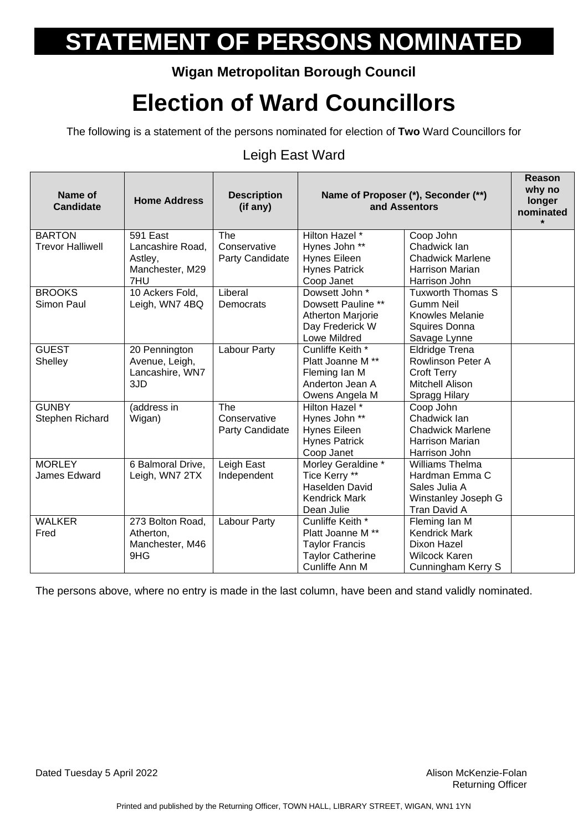### **Wigan Metropolitan Borough Council**

## **Election of Ward Councillors**

The following is a statement of the persons nominated for election of **Two** Ward Councillors for

#### Leigh East Ward

| Name of<br><b>Candidate</b> | <b>Home Address</b> | <b>Description</b><br>(if any) | Name of Proposer (*), Seconder (**)<br>and Assentors |                          | <b>Reason</b><br>why no<br>longer<br>nominated |
|-----------------------------|---------------------|--------------------------------|------------------------------------------------------|--------------------------|------------------------------------------------|
| <b>BARTON</b>               | 591 East            | The                            | <b>Hilton Hazel</b> *                                | Coop John                |                                                |
| <b>Trevor Halliwell</b>     | Lancashire Road,    | Conservative                   | Hynes John **                                        | Chadwick Ian             |                                                |
|                             | Astley,             | Party Candidate                | <b>Hynes Eileen</b>                                  | <b>Chadwick Marlene</b>  |                                                |
|                             | Manchester, M29     |                                | <b>Hynes Patrick</b>                                 | <b>Harrison Marian</b>   |                                                |
|                             | 7HU                 |                                | Coop Janet                                           | Harrison John            |                                                |
| <b>BROOKS</b>               | 10 Ackers Fold,     | Liberal                        | Dowsett John *                                       | <b>Tuxworth Thomas S</b> |                                                |
| Simon Paul                  | Leigh, WN7 4BQ      | Democrats                      | Dowsett Pauline **                                   | <b>Gumm Neil</b>         |                                                |
|                             |                     |                                | Atherton Marjorie                                    | Knowles Melanie          |                                                |
|                             |                     |                                | Day Frederick W                                      | Squires Donna            |                                                |
|                             |                     |                                | <b>Lowe Mildred</b>                                  | Savage Lynne             |                                                |
| <b>GUEST</b>                | 20 Pennington       | <b>Labour Party</b>            | Cunliffe Keith *                                     | <b>Eldridge Trena</b>    |                                                |
| Shelley                     | Avenue, Leigh,      |                                | Platt Joanne M **                                    | Rowlinson Peter A        |                                                |
|                             | Lancashire, WN7     |                                | Fleming Ian M                                        | <b>Croft Terry</b>       |                                                |
|                             | 3JD                 |                                | Anderton Jean A                                      | Mitchell Alison          |                                                |
|                             |                     |                                | Owens Angela M                                       | Spragg Hilary            |                                                |
| <b>GUNBY</b>                | (address in         | The                            | Hilton Hazel *                                       | Coop John                |                                                |
| Stephen Richard             | Wigan)              | Conservative                   | Hynes John **                                        | Chadwick Ian             |                                                |
|                             |                     | Party Candidate                | Hynes Eileen                                         | <b>Chadwick Marlene</b>  |                                                |
|                             |                     |                                | <b>Hynes Patrick</b>                                 | <b>Harrison Marian</b>   |                                                |
|                             |                     |                                | Coop Janet                                           | Harrison John            |                                                |
| <b>MORLEY</b>               | 6 Balmoral Drive,   | Leigh East                     | Morley Geraldine *                                   | Williams Thelma          |                                                |
| James Edward                | Leigh, WN7 2TX      | Independent                    | Tice Kerry **                                        | Hardman Emma C           |                                                |
|                             |                     |                                | Haselden David                                       | Sales Julia A            |                                                |
|                             |                     |                                | <b>Kendrick Mark</b>                                 | Winstanley Joseph G      |                                                |
|                             |                     |                                | Dean Julie                                           | Tran David A             |                                                |
| <b>WALKER</b>               | 273 Bolton Road,    | <b>Labour Party</b>            | Cunliffe Keith *                                     | Fleming lan M            |                                                |
| Fred                        | Atherton,           |                                | Platt Joanne M **                                    | <b>Kendrick Mark</b>     |                                                |
|                             | Manchester, M46     |                                | <b>Taylor Francis</b>                                | Dixon Hazel              |                                                |
|                             | 9HG                 |                                | <b>Taylor Catherine</b>                              | <b>Wilcock Karen</b>     |                                                |
|                             |                     |                                | Cunliffe Ann M                                       | Cunningham Kerry S       |                                                |

The persons above, where no entry is made in the last column, have been and stand validly nominated.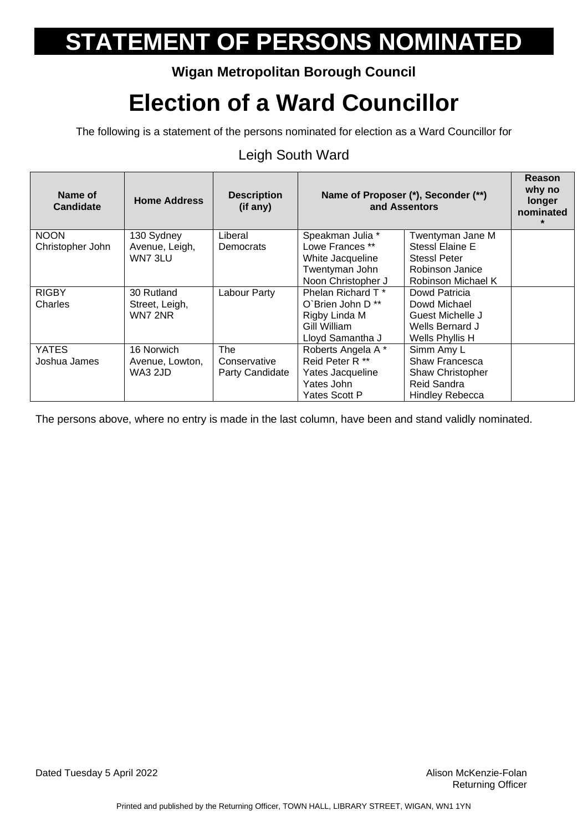### **Wigan Metropolitan Borough Council**

## **Election of a Ward Councillor**

The following is a statement of the persons nominated for election as a Ward Councillor for

### Leigh South Ward

| Name of<br>Candidate | <b>Home Address</b> | <b>Description</b><br>(if any) | Name of Proposer (*), Seconder (**)<br>and Assentors |                        | Reason<br>why no<br>longer<br>nominated |
|----------------------|---------------------|--------------------------------|------------------------------------------------------|------------------------|-----------------------------------------|
| <b>NOON</b>          | 130 Sydney          | Liberal                        | Speakman Julia *                                     | Twentyman Jane M       |                                         |
| Christopher John     | Avenue, Leigh,      | Democrats                      | Lowe Frances **                                      | Stessl Elaine E        |                                         |
|                      | WN7 3LU             |                                | White Jacqueline                                     | <b>StessI Peter</b>    |                                         |
|                      |                     |                                | Twentyman John                                       | Robinson Janice        |                                         |
|                      |                     |                                | Noon Christopher J                                   | Robinson Michael K     |                                         |
| <b>RIGBY</b>         | 30 Rutland          | Labour Party                   | Phelan Richard T*                                    | Dowd Patricia          |                                         |
| Charles              | Street, Leigh,      |                                | O`Brien John D **                                    | Dowd Michael           |                                         |
|                      | WN7 2NR             |                                | Rigby Linda M                                        | Guest Michelle J       |                                         |
|                      |                     |                                | Gill William                                         | Wells Bernard J        |                                         |
|                      |                     |                                | Lloyd Samantha J                                     | Wells Phyllis H        |                                         |
| <b>YATES</b>         | 16 Norwich          | <b>The</b>                     | Roberts Angela A*                                    | Simm Amy L             |                                         |
| Joshua James         | Avenue, Lowton,     | Conservative                   | Reid Peter R <sup>**</sup>                           | Shaw Francesca         |                                         |
|                      | WA3 2JD             | Party Candidate                | Yates Jacqueline                                     | Shaw Christopher       |                                         |
|                      |                     |                                | Yates John                                           | Reid Sandra            |                                         |
|                      |                     |                                | Yates Scott P                                        | <b>Hindley Rebecca</b> |                                         |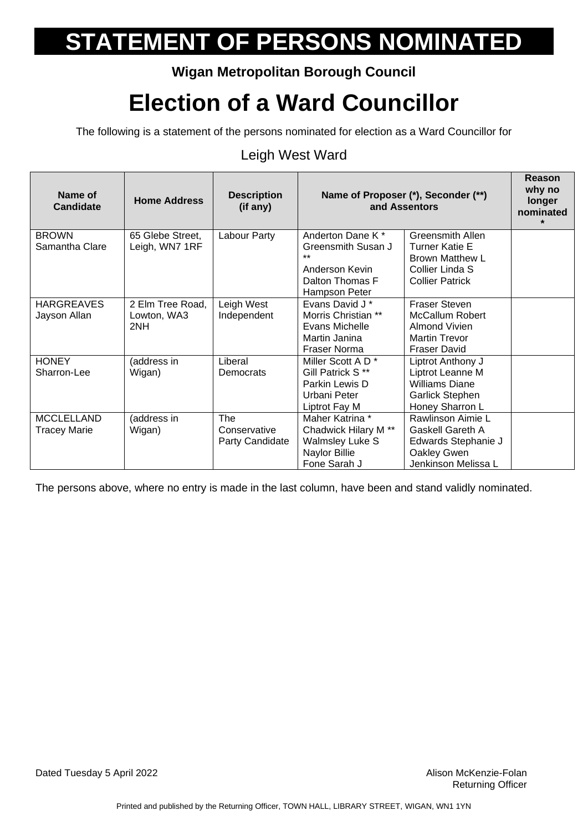### **Wigan Metropolitan Borough Council**

## **Election of a Ward Councillor**

The following is a statement of the persons nominated for election as a Ward Councillor for

#### Leigh West Ward

| Name of<br><b>Candidate</b> | <b>Home Address</b> | <b>Description</b><br>(if any) | Name of Proposer (*), Seconder (**)<br>and Assentors |                                                 | Reason<br>why no<br>longer<br>nominated<br>$\star$ |
|-----------------------------|---------------------|--------------------------------|------------------------------------------------------|-------------------------------------------------|----------------------------------------------------|
| <b>BROWN</b>                | 65 Glebe Street,    | Labour Party                   | Anderton Dane K <sup>*</sup>                         | Greensmith Allen                                |                                                    |
| Samantha Clare              | Leigh, WN7 1RF      |                                | Greensmith Susan J                                   | <b>Turner Katie E</b><br><b>Brown Matthew L</b> |                                                    |
|                             |                     |                                | Anderson Kevin                                       | Collier Linda S                                 |                                                    |
|                             |                     |                                | Dalton Thomas F                                      | <b>Collier Patrick</b>                          |                                                    |
|                             |                     |                                | Hampson Peter                                        |                                                 |                                                    |
| <b>HARGREAVES</b>           | 2 Elm Tree Road,    | Leigh West                     | Evans David J *                                      | <b>Fraser Steven</b>                            |                                                    |
| Jayson Allan                | Lowton, WA3         | Independent                    | Morris Christian **                                  | <b>McCallum Robert</b>                          |                                                    |
|                             | 2NH                 |                                | Evans Michelle<br>Martin Janina                      | <b>Almond Vivien</b><br><b>Martin Trevor</b>    |                                                    |
|                             |                     |                                | <b>Fraser Norma</b>                                  | <b>Fraser David</b>                             |                                                    |
| <b>HONEY</b>                | (address in         | Liberal                        | Miller Scott A D <sup>*</sup>                        | Liptrot Anthony J                               |                                                    |
| Sharron-Lee                 | Wigan)              | Democrats                      | Gill Patrick S <sup>**</sup>                         | Liptrot Leanne M                                |                                                    |
|                             |                     |                                | Parkin Lewis D                                       | <b>Williams Diane</b>                           |                                                    |
|                             |                     |                                | Urbani Peter                                         | <b>Garlick Stephen</b>                          |                                                    |
|                             |                     |                                | Liptrot Fay M                                        | Honey Sharron L                                 |                                                    |
| <b>MCCLELLAND</b>           | (address in         | <b>The</b>                     | Maher Katrina *                                      | Rawlinson Aimie L                               |                                                    |
| <b>Tracey Marie</b>         | Wigan)              | Conservative                   | Chadwick Hilary M <sup>**</sup>                      | Gaskell Gareth A                                |                                                    |
|                             |                     | Party Candidate                | <b>Walmsley Luke S</b>                               | Edwards Stephanie J                             |                                                    |
|                             |                     |                                | Naylor Billie                                        | Oakley Gwen                                     |                                                    |
|                             |                     |                                | Fone Sarah J                                         | Jenkinson Melissa L                             |                                                    |

The persons above, where no entry is made in the last column, have been and stand validly nominated.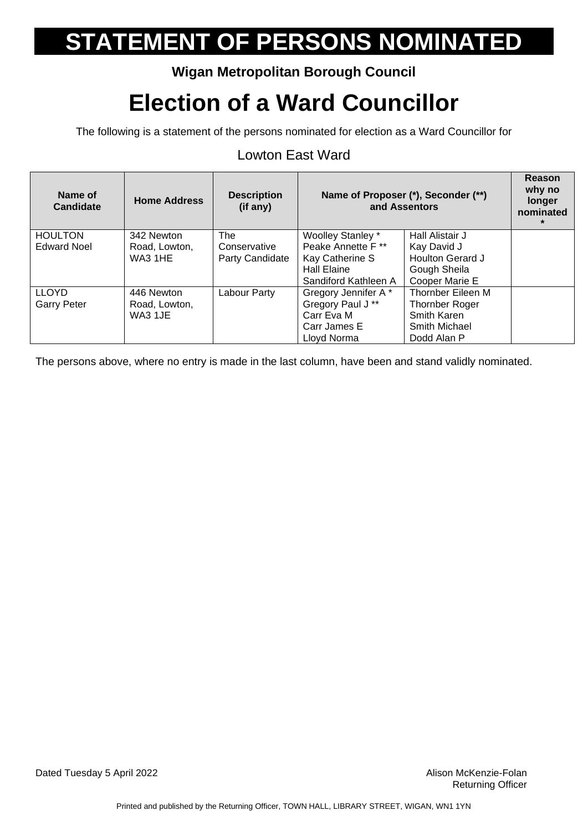### **Wigan Metropolitan Borough Council**

## **Election of a Ward Councillor**

The following is a statement of the persons nominated for election as a Ward Councillor for

#### Lowton East Ward

| Name of<br><b>Candidate</b> | <b>Home Address</b> | <b>Description</b><br>(if any) | Name of Proposer (*), Seconder (**)<br>and Assentors |                   | <b>Reason</b><br>why no<br>longer<br>nominated |
|-----------------------------|---------------------|--------------------------------|------------------------------------------------------|-------------------|------------------------------------------------|
| <b>HOULTON</b>              | 342 Newton          | The                            | Woolley Stanley *                                    | Hall Alistair J   |                                                |
| <b>Edward Noel</b>          | Road, Lowton,       | Conservative                   | Peake Annette F **                                   | Kay David J       |                                                |
|                             | <b>WA3 1HE</b>      | Party Candidate                | Kay Catherine S                                      | Houlton Gerard J  |                                                |
|                             |                     |                                | <b>Hall Elaine</b>                                   | Gough Sheila      |                                                |
|                             |                     |                                | Sandiford Kathleen A                                 | Cooper Marie E    |                                                |
| <b>LLOYD</b>                | 446 Newton          | Labour Party                   | Gregory Jennifer A*                                  | Thornber Eileen M |                                                |
| <b>Garry Peter</b>          | Road, Lowton,       |                                | Gregory Paul J**                                     | Thornber Roger    |                                                |
|                             | WA3 1JE             |                                | Carr Eva M                                           | Smith Karen       |                                                |
|                             |                     |                                | Carr James E                                         | Smith Michael     |                                                |
|                             |                     |                                | Lloyd Norma                                          | Dodd Alan P       |                                                |

The persons above, where no entry is made in the last column, have been and stand validly nominated.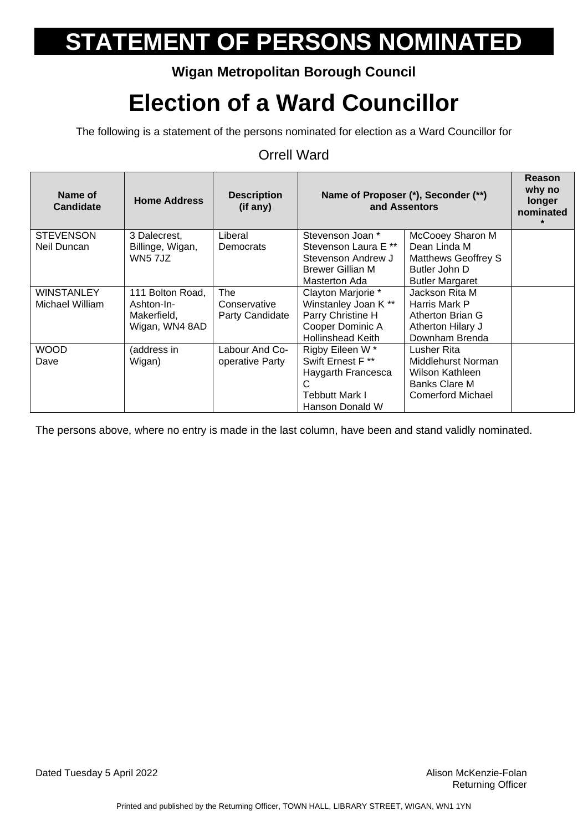### **Wigan Metropolitan Borough Council**

## **Election of a Ward Councillor**

The following is a statement of the persons nominated for election as a Ward Councillor for

#### Orrell Ward

| Name of<br><b>Candidate</b> | <b>Home Address</b> | <b>Description</b><br>(if any) | Name of Proposer (*), Seconder (**)<br>and Assentors |                            | <b>Reason</b><br>why no<br>longer<br>nominated |
|-----------------------------|---------------------|--------------------------------|------------------------------------------------------|----------------------------|------------------------------------------------|
| <b>STEVENSON</b>            | 3 Dalecrest,        | Liberal                        | Stevenson Joan *                                     | McCooey Sharon M           |                                                |
| Neil Duncan                 | Billinge, Wigan,    | Democrats                      | Stevenson Laura E **                                 | Dean Linda M               |                                                |
|                             | <b>WN5 7JZ</b>      |                                | Stevenson Andrew J                                   | <b>Matthews Geoffrey S</b> |                                                |
|                             |                     |                                | <b>Brewer Gillian M</b>                              | Butler John D              |                                                |
|                             |                     |                                | Masterton Ada                                        | <b>Butler Margaret</b>     |                                                |
| <b>WINSTANLEY</b>           | 111 Bolton Road,    | <b>The</b>                     | Clayton Marjorie *                                   | Jackson Rita M             |                                                |
| Michael William             | Ashton-In-          | Conservative                   | Winstanley Joan K**                                  | Harris Mark P              |                                                |
|                             | Makerfield,         | Party Candidate                | Parry Christine H                                    | Atherton Brian G           |                                                |
|                             | Wigan, WN4 8AD      |                                | Cooper Dominic A                                     | Atherton Hilary J          |                                                |
|                             |                     |                                | <b>Hollinshead Keith</b>                             | Downham Brenda             |                                                |
| <b>WOOD</b>                 | (address in         | Labour And Co-                 | Rigby Eileen W*                                      | Lusher Rita                |                                                |
| Dave                        | Wigan)              | operative Party                | Swift Ernest F <sup>**</sup>                         | Middlehurst Norman         |                                                |
|                             |                     |                                | Haygarth Francesca                                   | Wilson Kathleen            |                                                |
|                             |                     |                                | C                                                    | Banks Clare M              |                                                |
|                             |                     |                                | <b>Tebbutt Mark I</b>                                | Comerford Michael          |                                                |
|                             |                     |                                | Hanson Donald W                                      |                            |                                                |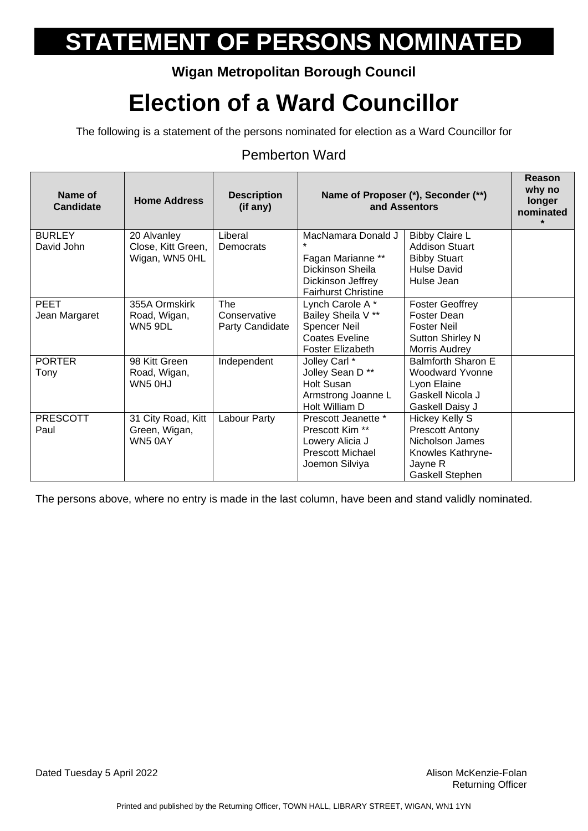### **Wigan Metropolitan Borough Council**

## **Election of a Ward Councillor**

The following is a statement of the persons nominated for election as a Ward Councillor for

#### Pemberton Ward

| Name of<br><b>Candidate</b> | <b>Home Address</b> | <b>Description</b><br>(if any) |                                                 | Name of Proposer (*), Seconder (**)<br>and Assentors | Reason<br>why no<br>longer<br>nominated<br>$\star$ |
|-----------------------------|---------------------|--------------------------------|-------------------------------------------------|------------------------------------------------------|----------------------------------------------------|
| <b>BURLEY</b>               | 20 Alvanley         | Liberal                        | MacNamara Donald J                              | <b>Bibby Claire L</b>                                |                                                    |
| David John                  | Close, Kitt Green,  | Democrats                      |                                                 | <b>Addison Stuart</b>                                |                                                    |
|                             | Wigan, WN5 OHL      |                                | Fagan Marianne **                               | <b>Bibby Stuart</b>                                  |                                                    |
|                             |                     |                                | Dickinson Sheila                                | <b>Hulse David</b>                                   |                                                    |
|                             |                     |                                | Dickinson Jeffrey<br><b>Fairhurst Christine</b> | Hulse Jean                                           |                                                    |
| <b>PEET</b>                 | 355A Ormskirk       | <b>The</b>                     | Lynch Carole A*                                 | <b>Foster Geoffrey</b>                               |                                                    |
| Jean Margaret               | Road, Wigan,        | Conservative                   | Bailey Sheila V **                              | <b>Foster Dean</b>                                   |                                                    |
|                             | WN5 9DL             | Party Candidate                | <b>Spencer Neil</b>                             | <b>Foster Neil</b>                                   |                                                    |
|                             |                     |                                | <b>Coates Eveline</b>                           | <b>Sutton Shirley N</b>                              |                                                    |
|                             |                     |                                | Foster Elizabeth                                | Morris Audrey                                        |                                                    |
| <b>PORTER</b>               | 98 Kitt Green       | Independent                    | Jolley Carl *                                   | Balmforth Sharon E                                   |                                                    |
| Tony                        | Road, Wigan,        |                                | Jolley Sean D <sup>**</sup>                     | <b>Woodward Yvonne</b>                               |                                                    |
|                             | WN5 OHJ             |                                | <b>Holt Susan</b>                               | Lyon Elaine                                          |                                                    |
|                             |                     |                                | Armstrong Joanne L                              | Gaskell Nicola J                                     |                                                    |
|                             |                     |                                | Holt William D                                  | Gaskell Daisy J                                      |                                                    |
| <b>PRESCOTT</b>             | 31 City Road, Kitt  | Labour Party                   | Prescott Jeanette *                             | Hickey Kelly S                                       |                                                    |
| Paul                        | Green, Wigan,       |                                | Prescott Kim <sup>**</sup>                      | <b>Prescott Antony</b>                               |                                                    |
|                             | WN5 0AY             |                                | Lowery Alicia J                                 | Nicholson James                                      |                                                    |
|                             |                     |                                | <b>Prescott Michael</b>                         | Knowles Kathryne-                                    |                                                    |
|                             |                     |                                | Joemon Silviya                                  | Jayne R                                              |                                                    |
|                             |                     |                                |                                                 | <b>Gaskell Stephen</b>                               |                                                    |

The persons above, where no entry is made in the last column, have been and stand validly nominated.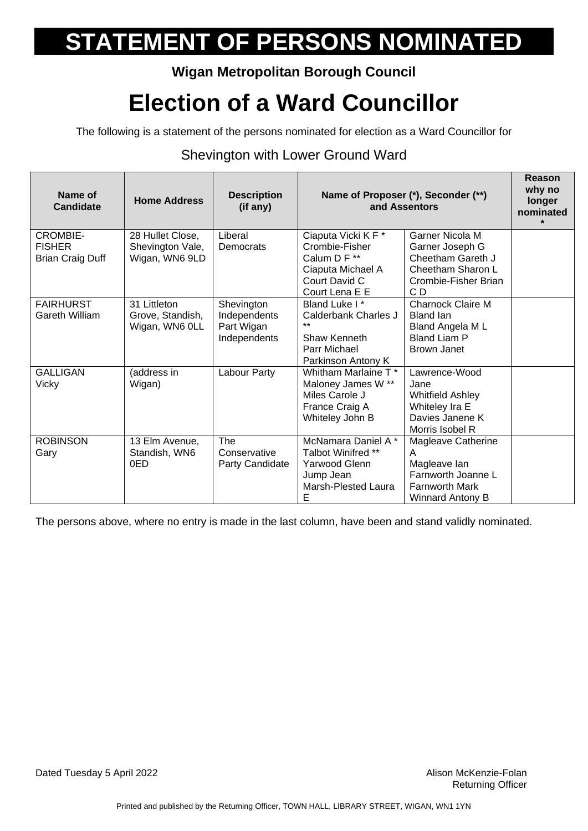### **Wigan Metropolitan Borough Council**

## **Election of a Ward Councillor**

The following is a statement of the persons nominated for election as a Ward Councillor for

#### Shevington with Lower Ground Ward

| Name of<br><b>Candidate</b>                                 | <b>Home Address</b>                                    | <b>Description</b><br>(if any)                           |                                                                                                               | Name of Proposer (*), Seconder (**)<br>and Assentors                                                       | Reason<br>why no<br>longer<br>nominated<br>$\star$ |
|-------------------------------------------------------------|--------------------------------------------------------|----------------------------------------------------------|---------------------------------------------------------------------------------------------------------------|------------------------------------------------------------------------------------------------------------|----------------------------------------------------|
| <b>CROMBIE-</b><br><b>FISHER</b><br><b>Brian Craig Duff</b> | 28 Hullet Close,<br>Shevington Vale,<br>Wigan, WN6 9LD | Liberal<br>Democrats                                     | Ciaputa Vicki K F *<br>Crombie-Fisher<br>Calum D F **<br>Ciaputa Michael A<br>Court David C<br>Court Lena E E | Garner Nicola M<br>Garner Joseph G<br>Cheetham Gareth J<br>Cheetham Sharon L<br>Crombie-Fisher Brian<br>CD |                                                    |
| <b>FAIRHURST</b><br>Gareth William                          | 31 Littleton<br>Grove, Standish,<br>Wigan, WN6 OLL     | Shevington<br>Independents<br>Part Wigan<br>Independents | Bland Luke I*<br>Calderbank Charles J<br>$***$<br>Shaw Kenneth<br>Parr Michael<br>Parkinson Antony K          | <b>Charnock Claire M</b><br><b>Bland lan</b><br>Bland Angela M L<br><b>Bland Liam P</b><br>Brown Janet     |                                                    |
| <b>GALLIGAN</b><br><b>Vicky</b>                             | (address in<br>Wigan)                                  | Labour Party                                             | Whitham Marlaine T *<br>Maloney James W **<br>Miles Carole J<br>France Craig A<br>Whiteley John B             | Lawrence-Wood<br>Jane<br><b>Whitfield Ashley</b><br>Whiteley Ira E<br>Davies Janene K<br>Morris Isobel R   |                                                    |
| <b>ROBINSON</b><br>Gary                                     | 13 Elm Avenue,<br>Standish, WN6<br>0ED                 | The<br>Conservative<br>Party Candidate                   | McNamara Daniel A *<br>Talbot Winifred **<br>Yarwood Glenn<br>Jump Jean<br>Marsh-Plested Laura<br>E           | Magleave Catherine<br>A<br>Magleave lan<br>Farnworth Joanne L<br><b>Farnworth Mark</b><br>Winnard Antony B |                                                    |

The persons above, where no entry is made in the last column, have been and stand validly nominated.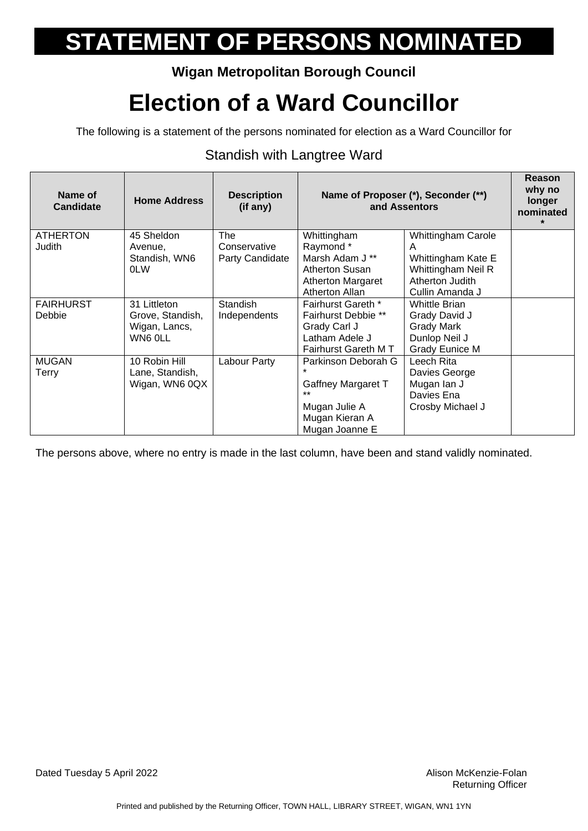### **Wigan Metropolitan Borough Council**

## **Election of a Ward Councillor**

The following is a statement of the persons nominated for election as a Ward Councillor for

#### Standish with Langtree Ward

| Name of<br><b>Candidate</b> | <b>Home Address</b> | <b>Description</b><br>(if any) | Name of Proposer (*), Seconder (**)<br>and Assentors |                           | Reason<br>why no<br>longer<br>nominated<br>$\star$ |
|-----------------------------|---------------------|--------------------------------|------------------------------------------------------|---------------------------|----------------------------------------------------|
| <b>ATHERTON</b>             | 45 Sheldon          | <b>The</b>                     | Whittingham                                          | <b>Whittingham Carole</b> |                                                    |
| Judith                      | Avenue,             | Conservative                   | Raymond*                                             | Α                         |                                                    |
|                             | Standish, WN6       | Party Candidate                | Marsh Adam J **                                      | Whittingham Kate E        |                                                    |
|                             | <b>OLW</b>          |                                | Atherton Susan                                       | Whittingham Neil R        |                                                    |
|                             |                     |                                | <b>Atherton Margaret</b>                             | Atherton Judith           |                                                    |
|                             |                     |                                | Atherton Allan                                       | Cullin Amanda J           |                                                    |
| <b>FAIRHURST</b>            | 31 Littleton        | <b>Standish</b>                | Fairhurst Gareth *                                   | <b>Whittle Brian</b>      |                                                    |
| <b>Debbie</b>               | Grove, Standish,    | Independents                   | <b>Fairhurst Debbie **</b>                           | Grady David J             |                                                    |
|                             | Wigan, Lancs,       |                                | Grady Carl J                                         | <b>Grady Mark</b>         |                                                    |
|                             | WN6 OLL             |                                | Latham Adele J                                       | Dunlop Neil J             |                                                    |
|                             |                     |                                | Fairhurst Gareth M T                                 | <b>Grady Eunice M</b>     |                                                    |
| <b>MUGAN</b>                | 10 Robin Hill       | Labour Party                   | Parkinson Deborah G                                  | Leech Rita                |                                                    |
| <b>Terry</b>                | Lane, Standish,     |                                |                                                      | Davies George             |                                                    |
|                             | Wigan, WN6 0QX      |                                | Gaffney Margaret T                                   | Mugan lan J               |                                                    |
|                             |                     |                                | $***$                                                | Davies Ena                |                                                    |
|                             |                     |                                | Mugan Julie A                                        | Crosby Michael J          |                                                    |
|                             |                     |                                | Mugan Kieran A                                       |                           |                                                    |
|                             |                     |                                | Mugan Joanne E                                       |                           |                                                    |

The persons above, where no entry is made in the last column, have been and stand validly nominated.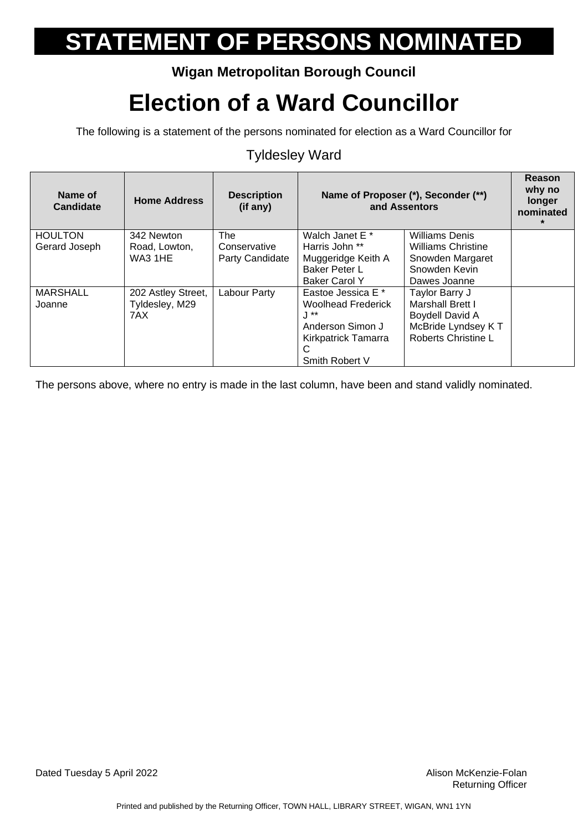### **Wigan Metropolitan Borough Council**

## **Election of a Ward Councillor**

The following is a statement of the persons nominated for election as a Ward Councillor for

#### Tyldesley Ward

| Name of<br><b>Candidate</b> | <b>Home Address</b> | <b>Description</b><br>(if any) | Name of Proposer (*), Seconder (**)<br>and Assentors |                           | <b>Reason</b><br>why no<br>longer<br>nominated |
|-----------------------------|---------------------|--------------------------------|------------------------------------------------------|---------------------------|------------------------------------------------|
| <b>HOULTON</b>              | 342 Newton          | <b>The</b>                     | Walch Janet E <sup>*</sup>                           | <b>Williams Denis</b>     |                                                |
| Gerard Joseph               | Road, Lowton,       | Conservative                   | Harris John **                                       | <b>Williams Christine</b> |                                                |
|                             | WA3 1HE             | Party Candidate                | Muggeridge Keith A                                   | Snowden Margaret          |                                                |
|                             |                     |                                | <b>Baker Peter L</b>                                 | Snowden Kevin             |                                                |
|                             |                     |                                | <b>Baker Carol Y</b>                                 | Dawes Joanne              |                                                |
| <b>MARSHALL</b>             | 202 Astley Street,  | Labour Party                   | Eastoe Jessica E *                                   | Taylor Barry J            |                                                |
| Joanne                      | Tyldesley, M29      |                                | <b>Woolhead Frederick</b>                            | <b>Marshall Brett I</b>   |                                                |
|                             | 7AX                 |                                | .J **                                                | <b>Boydell David A</b>    |                                                |
|                             |                     |                                | Anderson Simon J                                     | McBride Lyndsey KT        |                                                |
|                             |                     |                                | Kirkpatrick Tamarra                                  | Roberts Christine L       |                                                |
|                             |                     |                                | C                                                    |                           |                                                |
|                             |                     |                                | Smith Robert V                                       |                           |                                                |

The persons above, where no entry is made in the last column, have been and stand validly nominated.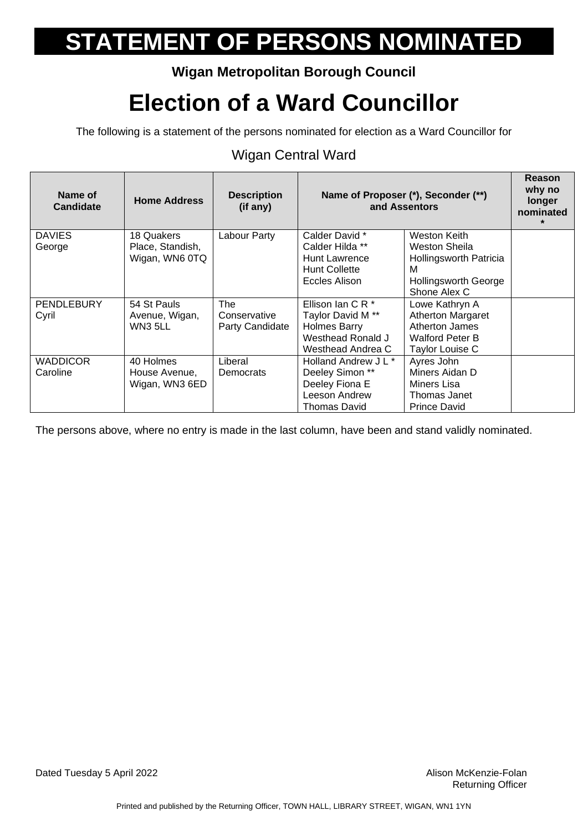### **Wigan Metropolitan Borough Council**

## **Election of a Ward Councillor**

The following is a statement of the persons nominated for election as a Ward Councillor for

### Wigan Central Ward

| Name of<br><b>Candidate</b> | <b>Home Address</b> | <b>Description</b><br>(if any) |                              | Name of Proposer (*), Seconder (**)<br>and Assentors | Reason<br>why no<br>longer<br>nominated |
|-----------------------------|---------------------|--------------------------------|------------------------------|------------------------------------------------------|-----------------------------------------|
| <b>DAVIES</b>               | 18 Quakers          | Labour Party                   | Calder David *               | <b>Weston Keith</b>                                  |                                         |
| George                      | Place, Standish,    |                                | Calder Hilda **              | Weston Sheila                                        |                                         |
|                             | Wigan, WN6 0TQ      |                                | Hunt Lawrence                | Hollingsworth Patricia                               |                                         |
|                             |                     |                                | <b>Hunt Collette</b>         | м                                                    |                                         |
|                             |                     |                                | Eccles Alison                | <b>Hollingsworth George</b>                          |                                         |
|                             |                     |                                |                              | Shone Alex C                                         |                                         |
| <b>PENDLEBURY</b>           | 54 St Pauls         | The                            | Ellison Ian C R *            | Lowe Kathryn A                                       |                                         |
| Cyril                       | Avenue, Wigan,      | Conservative                   | Taylor David M <sup>**</sup> | Atherton Margaret                                    |                                         |
|                             | WN3 5LL             | Party Candidate                | <b>Holmes Barry</b>          | Atherton James                                       |                                         |
|                             |                     |                                | Westhead Ronald J            | <b>Walford Peter B</b>                               |                                         |
|                             |                     |                                | Westhead Andrea C            | Taylor Louise C                                      |                                         |
| <b>WADDICOR</b>             | 40 Holmes           | Liberal                        | Holland Andrew J L *         | Ayres John                                           |                                         |
| Caroline                    | House Avenue,       | Democrats                      | Deeley Simon **              | Miners Aidan D                                       |                                         |
|                             | Wigan, WN3 6ED      |                                | Deeley Fiona E               | Miners Lisa                                          |                                         |
|                             |                     |                                | Leeson Andrew                | Thomas Janet                                         |                                         |
|                             |                     |                                | <b>Thomas David</b>          | <b>Prince David</b>                                  |                                         |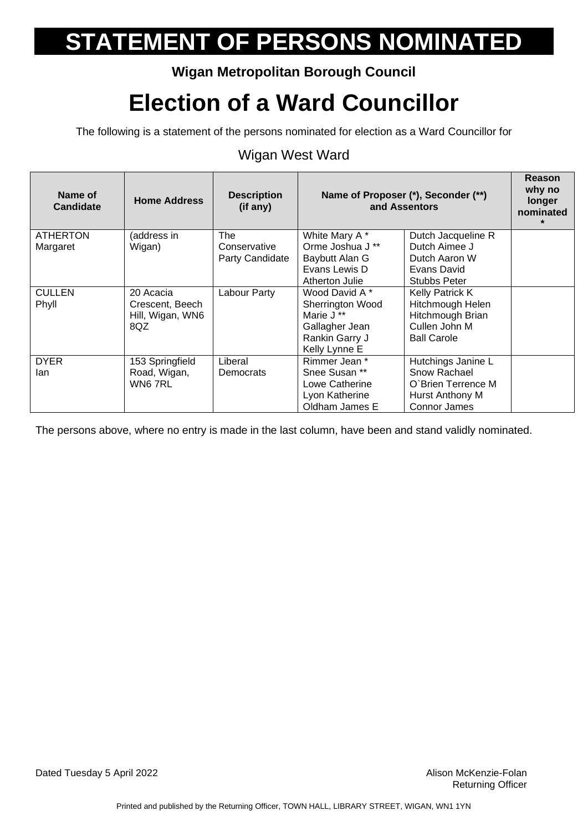### **Wigan Metropolitan Borough Council**

## **Election of a Ward Councillor**

The following is a statement of the persons nominated for election as a Ward Councillor for

#### Wigan West Ward

| Name of<br><b>Candidate</b> | <b>Home Address</b> | <b>Description</b><br>(if any) |                       | Name of Proposer (*), Seconder (**)<br>and Assentors | Reason<br>why no<br>longer<br>nominated |
|-----------------------------|---------------------|--------------------------------|-----------------------|------------------------------------------------------|-----------------------------------------|
| <b>ATHERTON</b>             | (address in         | <b>The</b>                     | White Mary A*         | Dutch Jacqueline R                                   |                                         |
| Margaret                    | Wigan)              | Conservative                   | Orme Joshua J **      | Dutch Aimee J                                        |                                         |
|                             |                     | Party Candidate                | Baybutt Alan G        | Dutch Aaron W                                        |                                         |
|                             |                     |                                | Evans Lewis D         | Evans David                                          |                                         |
|                             |                     |                                | Atherton Julie        | <b>Stubbs Peter</b>                                  |                                         |
| <b>CULLEN</b>               | 20 Acacia           | Labour Party                   | Wood David A *        | <b>Kelly Patrick K</b>                               |                                         |
| Phyll                       | Crescent, Beech     |                                | Sherrington Wood      | Hitchmough Helen                                     |                                         |
|                             | Hill, Wigan, WN6    |                                | Marie J <sup>**</sup> | Hitchmough Brian                                     |                                         |
|                             | 8QZ                 |                                | Gallagher Jean        | Cullen John M                                        |                                         |
|                             |                     |                                | Rankin Garry J        | <b>Ball Carole</b>                                   |                                         |
|                             |                     |                                | Kelly Lynne E         |                                                      |                                         |
| <b>DYER</b>                 | 153 Springfield     | Liberal                        | Rimmer Jean *         | Hutchings Janine L                                   |                                         |
| lan                         | Road, Wigan,        | Democrats                      | Snee Susan **         | Snow Rachael                                         |                                         |
|                             | WN6 7RL             |                                | Lowe Catherine        | O'Brien Terrence M                                   |                                         |
|                             |                     |                                | Lyon Katherine        | Hurst Anthony M                                      |                                         |
|                             |                     |                                | Oldham James E        | Connor James                                         |                                         |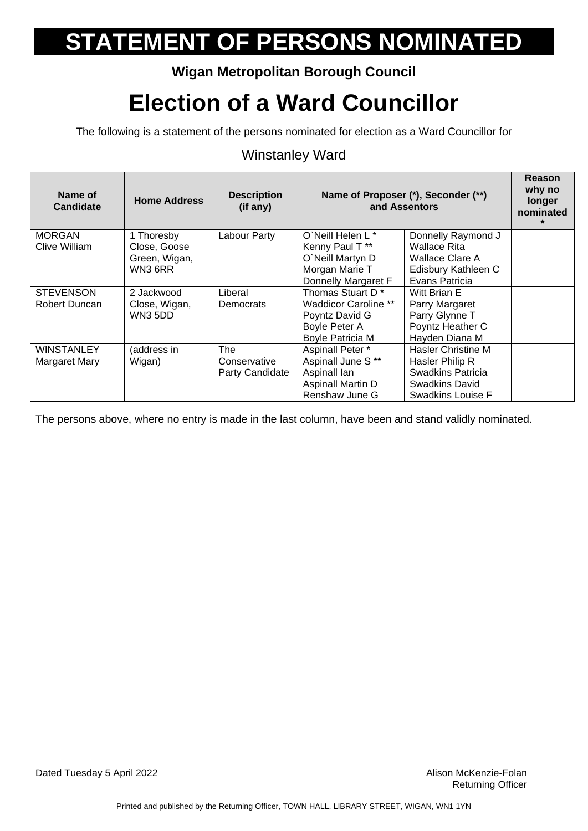### **Wigan Metropolitan Borough Council**

## **Election of a Ward Councillor**

The following is a statement of the persons nominated for election as a Ward Councillor for

#### Winstanley Ward

| Name of<br>Candidate | <b>Home Address</b> | <b>Description</b><br>(if any) | Name of Proposer (*), Seconder (**)<br>and Assentors |                           | Reason<br>why no<br>longer<br>nominated |
|----------------------|---------------------|--------------------------------|------------------------------------------------------|---------------------------|-----------------------------------------|
| <b>MORGAN</b>        | 1 Thoresby          | Labour Party                   | O'Neill Helen L*                                     | Donnelly Raymond J        |                                         |
| Clive William        | Close, Goose        |                                | Kenny Paul T**                                       | <b>Wallace Rita</b>       |                                         |
|                      | Green, Wigan,       |                                | O'Neill Martyn D                                     | Wallace Clare A           |                                         |
|                      | WN3 6RR             |                                | Morgan Marie T                                       | Edisbury Kathleen C       |                                         |
|                      |                     |                                | Donnelly Margaret F                                  | Evans Patricia            |                                         |
| <b>STEVENSON</b>     | 2 Jackwood          | Liberal                        | Thomas Stuart D <sup>*</sup>                         | Witt Brian E              |                                         |
| Robert Duncan        | Close, Wigan,       | <b>Democrats</b>               | <b>Waddicor Caroline **</b>                          | Parry Margaret            |                                         |
|                      | WN35DD              |                                | Poyntz David G                                       | Parry Glynne T            |                                         |
|                      |                     |                                | Boyle Peter A                                        | Poyntz Heather C          |                                         |
|                      |                     |                                | <b>Boyle Patricia M</b>                              | Hayden Diana M            |                                         |
| <b>WINSTANLEY</b>    | (address in         | <b>The</b>                     | Aspinall Peter *                                     | <b>Hasler Christine M</b> |                                         |
| Margaret Mary        | Wigan)              | Conservative                   | Aspinall June S**                                    | Hasler Philip R           |                                         |
|                      |                     | Party Candidate                | Aspinall lan                                         | <b>Swadkins Patricia</b>  |                                         |
|                      |                     |                                | Aspinall Martin D                                    | <b>Swadkins David</b>     |                                         |
|                      |                     |                                | Renshaw June G                                       | Swadkins Louise F         |                                         |